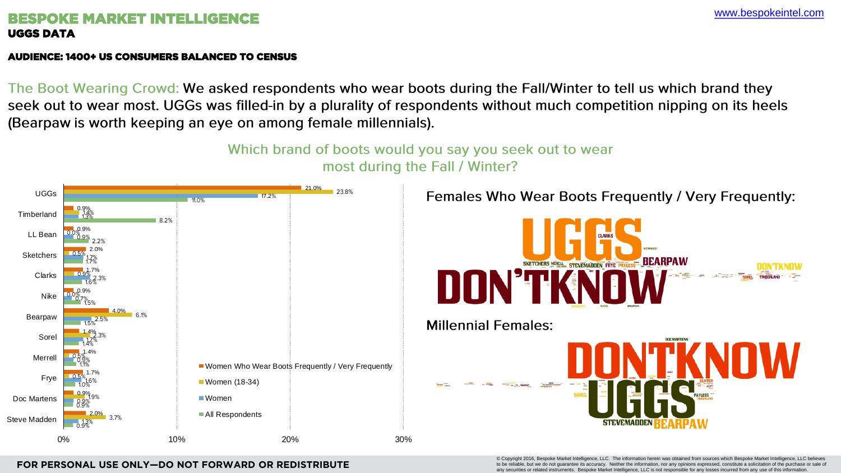© Copyright 2016, Bespoke Market Intelligence, LLC. The information herein was obtained from sources which Bespoke Market Intelligence, to be reliable, but we do not guarantee its accuracy. Neither the information, nor any opinions expressed, constitute a solicitation of the purchase or sale of any securities or related instruments. Bespoke Market Intelligence, LLC is not responsible for any losses incurred from any use of this informat

### **FOR PERSONAL USE ONLY—DO NOT FORWARD OR REDISTRIBUTE**

# BESPOKE MARKET INTELLIGENCE UGGS DATA

### AUDIENCE: 1400+ US CONSUMERS BALANCED TO CENSUS

The Boot Wearing Crowd: We asked respondents who wear boots during the Fall/Winter to tell us which brand they seek out to wear most. UGGs was filled-in by a plurality of respondents without much competition nipping on its heels (Bearpaw is worth keeping an eye on among female millennials).

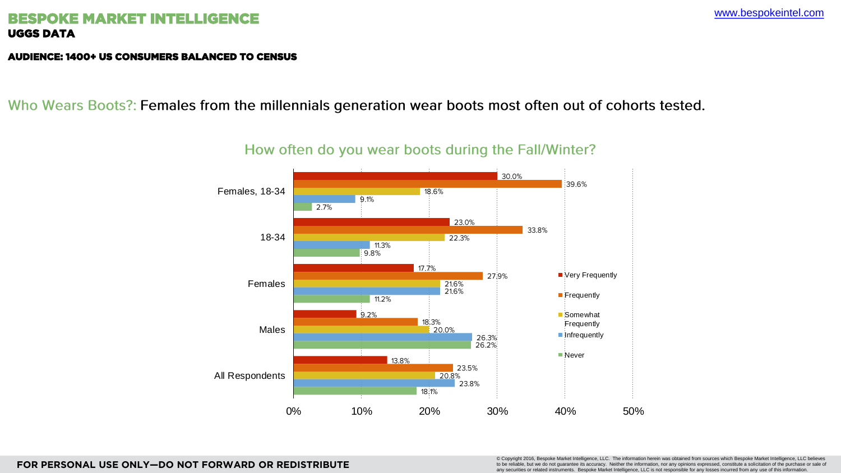[www.bespokeintel.com](http://www.bespokeintel.com)

# BESPOKE MARKET INTELLIGENCE UGGS DATA

© Copyright 2016, Bespoke Market Intelligence, LLC. The information herein was obtained from sources which Bespoke Market Intelligence, LLC believes to be reliable, but we do not guarantee its accuracy. Neither the information, nor any opinions expressed, constitute a solicitation of the purchase or sale of any securities or related instruments. Bespoke Market Intelligence, LLC is not responsible for any losses incurred from any use of this information.

### AUDIENCE: 1400+ US CONSUMERS BALANCED TO CENSUS

Who Wears Boots?: Females from the millennials generation wear boots most often out of cohorts tested.



# How often do you wear boots during the Fall/Winter?

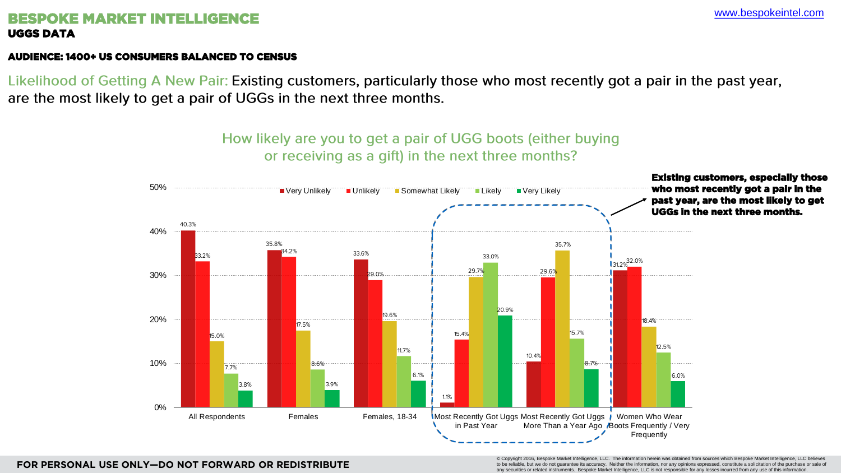**FOR PERSONAL USE ONLY—DO NOT FORWARD OR REDISTRIBUTE**

# BESPOKE MARKET INTELLIGENCE UGGS DATA

© Copyright 2016, Bespoke Market Intelligence, LLC. The information herein was obtained from sources which Bespoke Market Intelligence, LLC believes to be reliable, but we do not guarantee its accuracy. Neither the information, nor any opinions expressed, constitute a solicitation of the purchase or sale of any securities or related instruments. Bespoke Market Intelligence, LLC is not responsible for any losses incurred from any use of this information.

### AUDIENCE: 1400+ US CONSUMERS BALANCED TO CENSUS

Likelihood of Getting A New Pair: Existing customers, particularly those who most recently got a pair in the past year, are the most likely to get a pair of UGGs in the next three months.

# How likely are you to get a pair of UGG boots (either buying

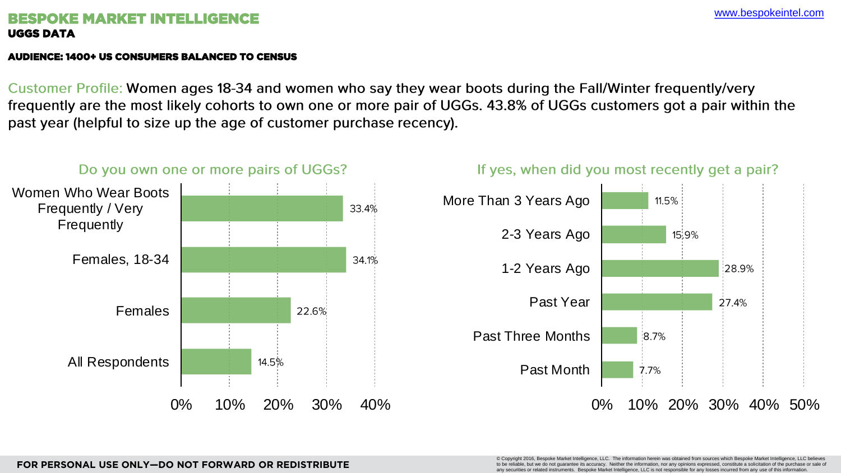# (F MARKET INTEL UGGS DATA

© Copyright 2016, Bespoke Market Intelligence, LLC. The information herein was obtained from sources which Bespoke Market Intelligence, LLC believes to be reliable, but we do not guarantee its accuracy. Neither the information, nor any opinions expressed, constitute a solicitation of the purchase or sale of any securities or related instruments. Bespoke Market Intelligence, LLC is not responsible for any losses incurred from any use of this informatio

### AUDIENCE: 1400+ US CONSUMERS BALANCED TO CENSUS

Customer Profile: Women ages 18-34 and women who say they wear boots during the Fall/Winter frequently/very frequently are the most likely cohorts to own one or more pair of UGGs. 43.8% of UGGs customers got a pair within the past year (helpful to size up the age of customer purchase recency).